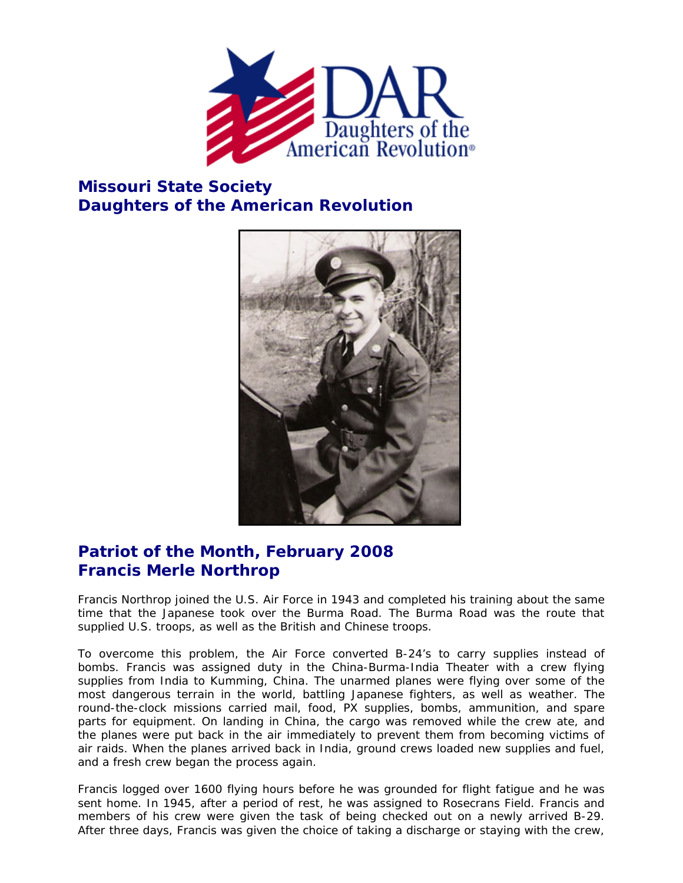

## **Missouri State Society Daughters of the American Revolution**



## **Patriot of the Month, February 2008 Francis Merle Northrop**

Francis Northrop joined the U.S. Air Force in 1943 and completed his training about the same time that the Japanese took over the Burma Road. The Burma Road was the route that supplied U.S. troops, as well as the British and Chinese troops.

To overcome this problem, the Air Force converted B-24's to carry supplies instead of bombs. Francis was assigned duty in the China-Burma-India Theater with a crew flying supplies from India to Kumming, China. The unarmed planes were flying over some of the most dangerous terrain in the world, battling Japanese fighters, as well as weather. The round-the-clock missions carried mail, food, PX supplies, bombs, ammunition, and spare parts for equipment. On landing in China, the cargo was removed while the crew ate, and the planes were put back in the air immediately to prevent them from becoming victims of air raids. When the planes arrived back in India, ground crews loaded new supplies and fuel, and a fresh crew began the process again.

Francis logged over 1600 flying hours before he was grounded for flight fatigue and he was sent home. In 1945, after a period of rest, he was assigned to Rosecrans Field. Francis and members of his crew were given the task of being checked out on a newly arrived B-29. After three days, Francis was given the choice of taking a discharge or staying with the crew,